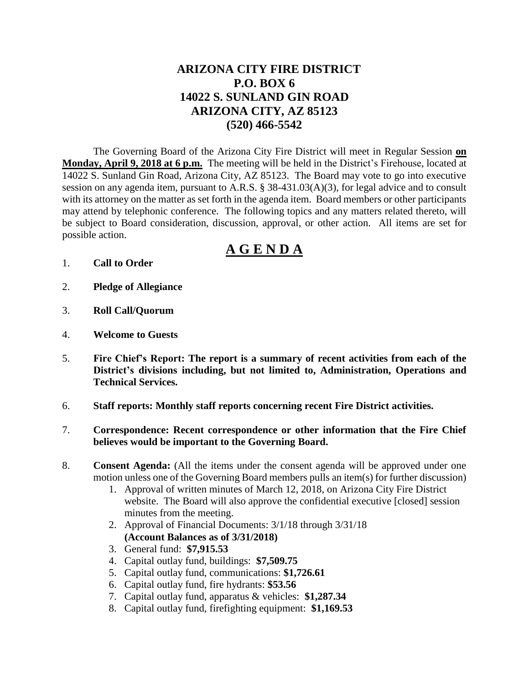# **ARIZONA CITY FIRE DISTRICT P.O. BOX 6 14022 S. SUNLAND GIN ROAD ARIZONA CITY, AZ 85123 (520) 466-5542**

The Governing Board of the Arizona City Fire District will meet in Regular Session **on Monday, April 9, 2018 at 6 p.m.** The meeting will be held in the District's Firehouse, located at 14022 S. Sunland Gin Road, Arizona City, AZ 85123. The Board may vote to go into executive session on any agenda item, pursuant to A.R.S. § 38-431.03(A)(3), for legal advice and to consult with its attorney on the matter as set forth in the agenda item. Board members or other participants may attend by telephonic conference. The following topics and any matters related thereto, will be subject to Board consideration, discussion, approval, or other action. All items are set for possible action.

# **A G E N D A**

- 1. **Call to Order**
- 2. **Pledge of Allegiance**
- 3. **Roll Call/Quorum**
- 4. **Welcome to Guests**
- 5. **Fire Chief's Report: The report is a summary of recent activities from each of the District's divisions including, but not limited to, Administration, Operations and Technical Services.**
- 6. **Staff reports: Monthly staff reports concerning recent Fire District activities.**
- 7. **Correspondence: Recent correspondence or other information that the Fire Chief believes would be important to the Governing Board.**
- 8. **Consent Agenda:** (All the items under the consent agenda will be approved under one motion unless one of the Governing Board members pulls an item(s) for further discussion)
	- 1. Approval of written minutes of March 12, 2018, on Arizona City Fire District website. The Board will also approve the confidential executive [closed] session minutes from the meeting.
	- 2. Approval of Financial Documents: 3/1/18 through 3/31/18 **(Account Balances as of 3/31/2018)**
	- 3. General fund: **\$7,915.53**
	- 4. Capital outlay fund, buildings: **\$7,509.75**
	- 5. Capital outlay fund, communications: **\$1,726.61**
	- 6. Capital outlay fund, fire hydrants: **\$53.56**
	- 7. Capital outlay fund, apparatus & vehicles: **\$1,287.34**
	- 8. Capital outlay fund, firefighting equipment: **\$1,169.53**